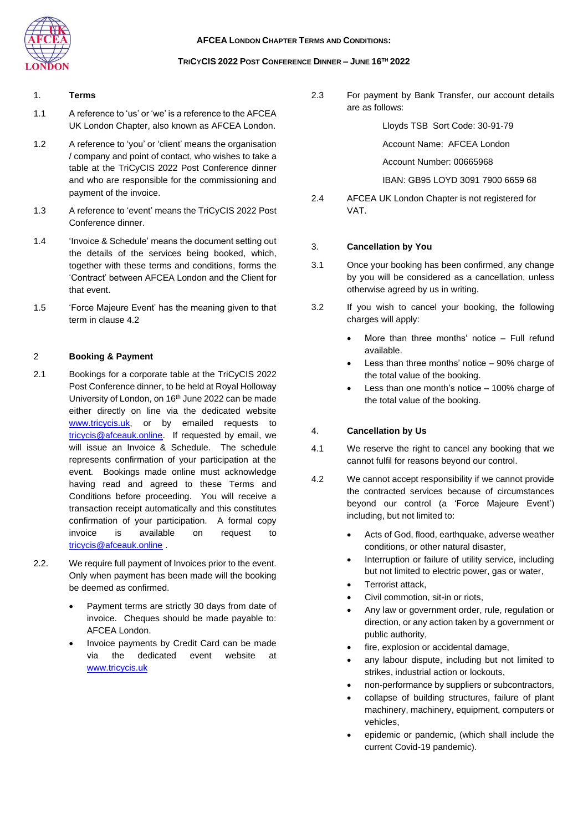### **AFCEA LONDON CHAPTER TERMS AND CONDITIONS:**



#### **TRICYCIS 2022 POST CONFERENCE DINNER – JUNE 16TH 2022**

# 1. **Terms**

- 1.1 A reference to 'us' or 'we' is a reference to the AFCEA UK London Chapter, also known as AFCEA London.
- 1.2 A reference to 'you' or 'client' means the organisation / company and point of contact, who wishes to take a table at the TriCyCIS 2022 Post Conference dinner and who are responsible for the commissioning and payment of the invoice.
- 1.3 A reference to 'event' means the TriCyCIS 2022 Post Conference dinner.
- 1.4 'Invoice & Schedule' means the document setting out the details of the services being booked, which, together with these terms and conditions, forms the 'Contract' between AFCEA London and the Client for that event.
- 1.5 'Force Majeure Event' has the meaning given to that term in clause 4.2

# 2 **Booking & Payment**

- 2.1 Bookings for a corporate table at the TriCyCIS 2022 Post Conference dinner, to be held at Royal Holloway University of London, on 16<sup>th</sup> June 2022 can be made either directly on line via the dedicated website [www.tricycis.uk,](http://www.tricycis.uk/) or by emailed requests to [tricycis@afceauk.online.](mailto:tricycis@afceauk.online) If requested by email, we will issue an Invoice & Schedule. The schedule represents confirmation of your participation at the event. Bookings made online must acknowledge having read and agreed to these Terms and Conditions before proceeding. You will receive a transaction receipt automatically and this constitutes confirmation of your participation. A formal copy invoice is available on request to [tricycis@afceauk.online](mailto:tricycis@afceauk.online) .
- 2.2. We require full payment of Invoices prior to the event. Only when payment has been made will the booking be deemed as confirmed.
	- Payment terms are strictly 30 days from date of invoice. Cheques should be made payable to: AFCEA London.
	- Invoice payments by Credit Card can be made via the dedicated event website at [www.tricycis.uk](http://www.tricycis.uk/)

2.3 For payment by Bank Transfer, our account details are as follows:

Lloyds TSB Sort Code: 30-91-79

Account Name: AFCEA London

Account Number: 00665968

IBAN: GB95 LOYD 3091 7900 6659 68

2.4 AFCEA UK London Chapter is not registered for VAT.

### 3. **Cancellation by You**

- 3.1 Once your booking has been confirmed, any change by you will be considered as a cancellation, unless otherwise agreed by us in writing.
- 3.2 If you wish to cancel your booking, the following charges will apply:
	- More than three months' notice  $-$  Full refund available.
	- Less than three months' notice  $-90\%$  charge of the total value of the booking.
	- Less than one month's notice  $-100\%$  charge of the total value of the booking.

#### 4. **Cancellation by Us**

- 4.1 We reserve the right to cancel any booking that we cannot fulfil for reasons beyond our control.
- 4.2 We cannot accept responsibility if we cannot provide the contracted services because of circumstances beyond our control (a 'Force Majeure Event') including, but not limited to:
	- Acts of God, flood, earthquake, adverse weather conditions, or other natural disaster,
	- Interruption or failure of utility service, including but not limited to electric power, gas or water,
	- Terrorist attack,
	- Civil commotion, sit-in or riots,
	- Any law or government order, rule, regulation or direction, or any action taken by a government or public authority,
	- fire, explosion or accidental damage,
	- any labour dispute, including but not limited to strikes, industrial action or lockouts,
	- non-performance by suppliers or subcontractors,
	- collapse of building structures, failure of plant machinery, machinery, equipment, computers or vehicles,
	- epidemic or pandemic, (which shall include the current Covid-19 pandemic).